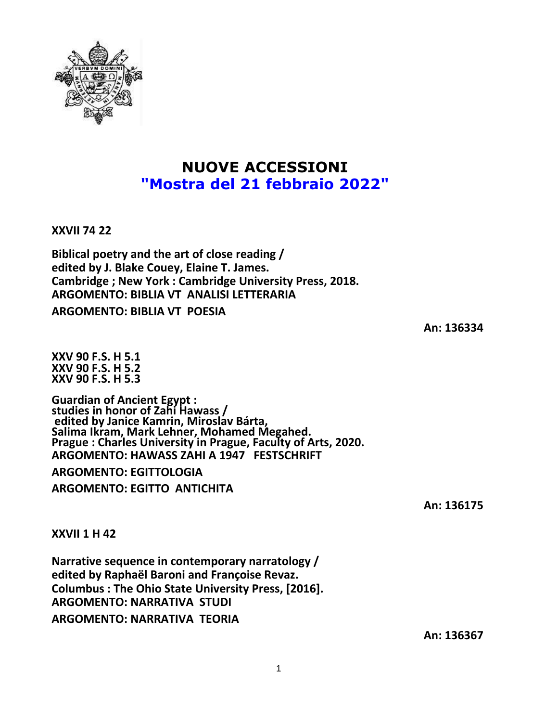

# **NUOVE ACCESSIONI "Mostra del 21 febbraio 2022"**

**XXVII 74 22**

**Biblical poetry and the art of close reading / edited by J. Blake Couey, Elaine T. James. Cambridge ; New York : Cambridge University Press, 2018. ARGOMENTO: BIBLIA VT ANALISI LETTERARIA**

**ARGOMENTO: BIBLIA VT POESIA**

**An: 136334**

**XXV 90 F.S. H 5.1 XXV 90 F.S. H 5.2 XXV 90 F.S. H 5.3**

**Guardian of Ancient Egypt : studies in honor of Zahi Hawass / edited by Janice Kamrin, Miroslav Bárta, Salima Ikram, Mark Lehner, Mohamed Megahed. Prague : Charles University in Prague, Faculty of Arts, 2020. ARGOMENTO: HAWASS ZAHI A 1947 FESTSCHRIFT**

**ARGOMENTO: EGITTOLOGIA ARGOMENTO: EGITTO ANTICHITA**

**An: 136175**

**XXVII 1 H 42**

**Narrative sequence in contemporary narratology / edited by Raphaël Baroni and Françoise Revaz. Columbus : The Ohio State University Press, [2016]. ARGOMENTO: NARRATIVA STUDI ARGOMENTO: NARRATIVA TEORIA**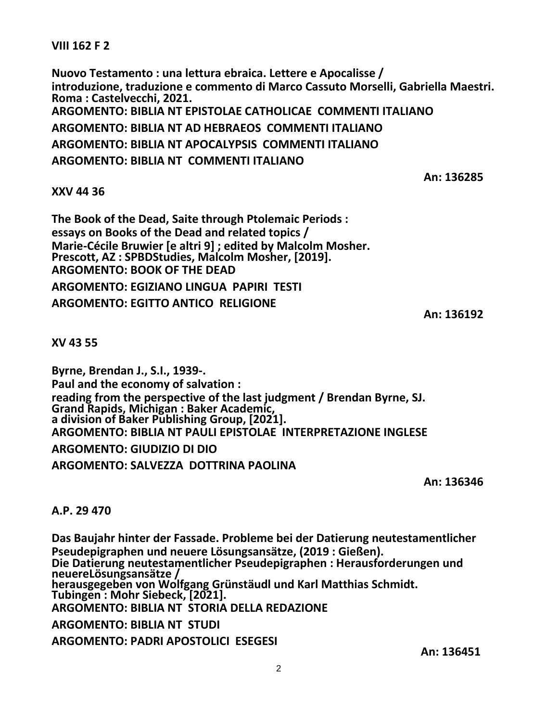**VIII 162 F 2**

**Nuovo Testamento : una lettura ebraica. Lettere e Apocalisse / introduzione, traduzione e commento di Marco Cassuto Morselli, Gabriella Maestri. Roma : Castelvecchi, 2021. ARGOMENTO: BIBLIA NT EPISTOLAE CATHOLICAE COMMENTI ITALIANO ARGOMENTO: BIBLIA NT AD HEBRAEOS COMMENTI ITALIANO ARGOMENTO: BIBLIA NT APOCALYPSIS COMMENTI ITALIANO ARGOMENTO: BIBLIA NT COMMENTI ITALIANO**

#### **XXV 44 36**

**The Book of the Dead, Saite through Ptolemaic Periods : essays on Books of the Dead and related topics / Marie-Cécile Bruwier [e altri 9] ; edited by Malcolm Mosher. Prescott, AZ : SPBDStudies, Malcolm Mosher, [2019]. ARGOMENTO: BOOK OF THE DEAD ARGOMENTO: EGIZIANO LINGUA PAPIRI TESTI ARGOMENTO: EGITTO ANTICO RELIGIONE**

**An: 136192**

**An: 136285**

**XV 43 55**

**Byrne, Brendan J., S.I., 1939-. Paul and the economy of salvation : reading from the perspective of the last judgment / Brendan Byrne, SJ. Grand Rapids, Michigan : Baker Academic, a division of Baker Publishing Group, [2021]. ARGOMENTO: BIBLIA NT PAULI EPISTOLAE INTERPRETAZIONE INGLESE**

**ARGOMENTO: GIUDIZIO DI DIO**

**ARGOMENTO: SALVEZZA DOTTRINA PAOLINA**

**An: 136346**

## **A.P. 29 470**

**Das Baujahr hinter der Fassade. Probleme bei der Datierung neutestamentlicher Pseudepigraphen und neuere Lösungsansätze, (2019 : Gießen). Die Datierung neutestamentlicher Pseudepigraphen : Herausforderungen und neuereLösungsansätze / herausgegeben von Wolfgang Grünstäudl und Karl Matthias Schmidt. Tubingen : Mohr Siebeck, [2021]. ARGOMENTO: BIBLIA NT STORIA DELLA REDAZIONE ARGOMENTO: BIBLIA NT STUDI ARGOMENTO: PADRI APOSTOLICI ESEGESI**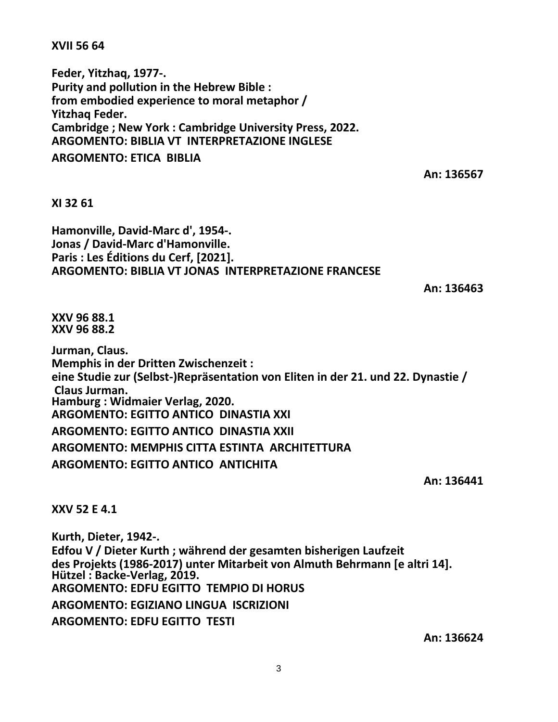**XVII 56 64**

**Feder, Yitzhaq, 1977-. Purity and pollution in the Hebrew Bible : from embodied experience to moral metaphor / Yitzhaq Feder. Cambridge ; New York : Cambridge University Press, 2022. ARGOMENTO: BIBLIA VT INTERPRETAZIONE INGLESE ARGOMENTO: ETICA BIBLIA**

**An: 136567**

## **XI 32 61**

**Hamonville, David-Marc d', 1954-. Jonas / David-Marc d'Hamonville. Paris : Les Éditions du Cerf, [2021]. ARGOMENTO: BIBLIA VT JONAS INTERPRETAZIONE FRANCESE**

**An: 136463**

**XXV 96 88.1 XXV 96 88.2**

**Jurman, Claus. Memphis in der Dritten Zwischenzeit : eine Studie zur (Selbst-)Repräsentation von Eliten in der 21. und 22. Dynastie / Claus Jurman. Hamburg : Widmaier Verlag, 2020. ARGOMENTO: EGITTO ANTICO DINASTIA XXI ARGOMENTO: EGITTO ANTICO DINASTIA XXII ARGOMENTO: MEMPHIS CITTA ESTINTA ARCHITETTURA ARGOMENTO: EGITTO ANTICO ANTICHITA**

**An: 136441**

**XXV 52 E 4.1**

**Kurth, Dieter, 1942-. Edfou V / Dieter Kurth ; während der gesamten bisherigen Laufzeit des Projekts (1986-2017) unter Mitarbeit von Almuth Behrmann [e altri 14]. Hützel : Backe-Verlag, 2019. ARGOMENTO: EDFU EGITTO TEMPIO DI HORUS ARGOMENTO: EGIZIANO LINGUA ISCRIZIONI ARGOMENTO: EDFU EGITTO TESTI**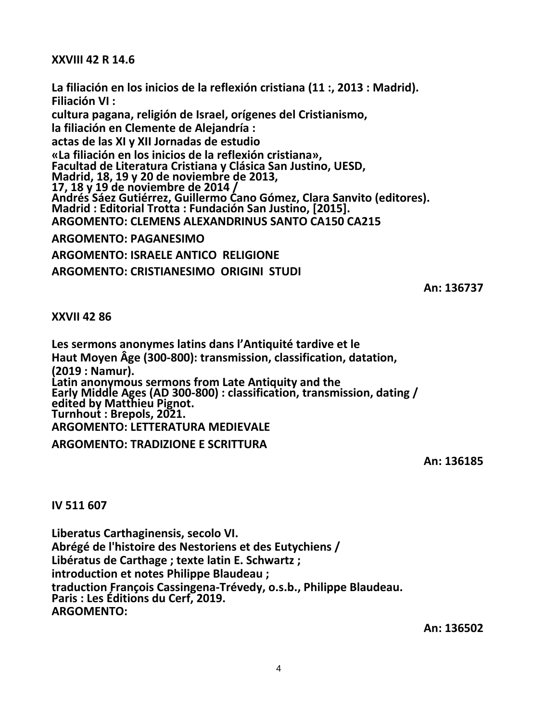# **XXVIII 42 R 14.6**

**La filiación en los inicios de la reflexión cristiana (11 :, 2013 : Madrid). Filiación VI : cultura pagana, religión de Israel, orígenes del Cristianismo, la filiación en Clemente de Alejandría : actas de las XI y XII Jornadas de estudio «La filiación en los inicios de la reflexión cristiana», Facultad de Literatura Cristiana y Clásica San Justino, UESD, Madrid, 18, 19 y 20 de noviembre de 2013, 17, 18 y 19 de noviembre de 2014 / Andrés Sáez Gutiérrez, Guillermo Cano Gómez, Clara Sanvito (editores). Madrid : Editorial Trotta : Fundación San Justino, [2015]. ARGOMENTO: CLEMENS ALEXANDRINUS SANTO CA150 CA215 ARGOMENTO: PAGANESIMO ARGOMENTO: ISRAELE ANTICO RELIGIONE**

**ARGOMENTO: CRISTIANESIMO ORIGINI STUDI**

**An: 136737**

# **XXVII 42 86**

**Les sermons anonymes latins dans l'Antiquité tardive et le Haut Moyen Âge (300-800): transmission, classification, datation, (2019 : Namur). Latin anonymous sermons from Late Antiquity and the Early Middle Ages (AD 300-800) : classification, transmission, dating / edited by Matthieu Pignot. Turnhout : Brepols, 2021. ARGOMENTO: LETTERATURA MEDIEVALE ARGOMENTO: TRADIZIONE E SCRITTURA**

**An: 136185**

**IV 511 607**

**Liberatus Carthaginensis, secolo VI. Abrégé de l'histoire des Nestoriens et des Eutychiens / Libératus de Carthage ; texte latin E. Schwartz ; introduction et notes Philippe Blaudeau ; traduction François Cassingena-Trévedy, o.s.b., Philippe Blaudeau. Paris : Les Éditions du Cerf, 2019. ARGOMENTO:**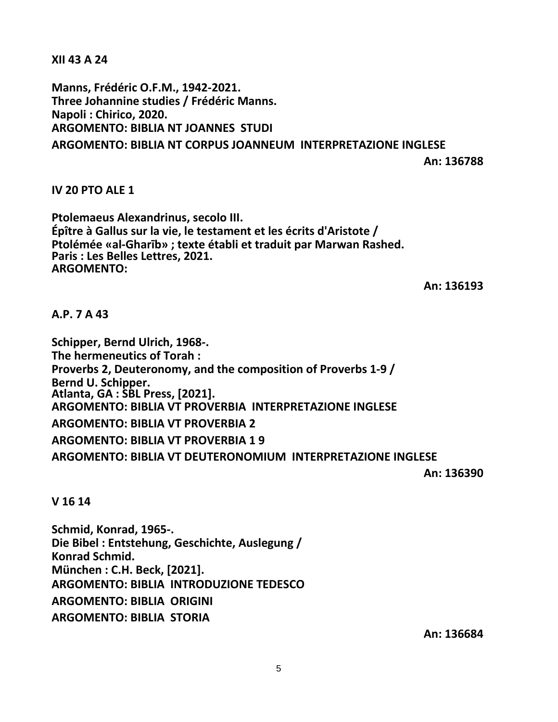**XII 43 A 24**

**Manns, Frédéric O.F.M., 1942-2021. Three Johannine studies / Frédéric Manns. Napoli : Chirico, 2020. ARGOMENTO: BIBLIA NT JOANNES STUDI ARGOMENTO: BIBLIA NT CORPUS JOANNEUM INTERPRETAZIONE INGLESE**

**An: 136788**

# **IV 20 PTO ALE 1**

**Ptolemaeus Alexandrinus, secolo III. Épître à Gallus sur la vie, le testament et les écrits d'Aristote / Ptolémée «al-Gharīb» ; texte établi et traduit par Marwan Rashed. Paris : Les Belles Lettres, 2021. ARGOMENTO:**

**An: 136193**

# **A.P. 7 A 43**

**Schipper, Bernd Ulrich, 1968-. The hermeneutics of Torah : Proverbs 2, Deuteronomy, and the composition of Proverbs 1-9 / Bernd U. Schipper. Atlanta, GA : SBL Press, [2021]. ARGOMENTO: BIBLIA VT PROVERBIA INTERPRETAZIONE INGLESE ARGOMENTO: BIBLIA VT PROVERBIA 2 ARGOMENTO: BIBLIA VT PROVERBIA 1 9 ARGOMENTO: BIBLIA VT DEUTERONOMIUM INTERPRETAZIONE INGLESE**

**An: 136390**

**V 16 14**

**Schmid, Konrad, 1965-. Die Bibel : Entstehung, Geschichte, Auslegung / Konrad Schmid. München : C.H. Beck, [2021]. ARGOMENTO: BIBLIA INTRODUZIONE TEDESCO ARGOMENTO: BIBLIA ORIGINI ARGOMENTO: BIBLIA STORIA**